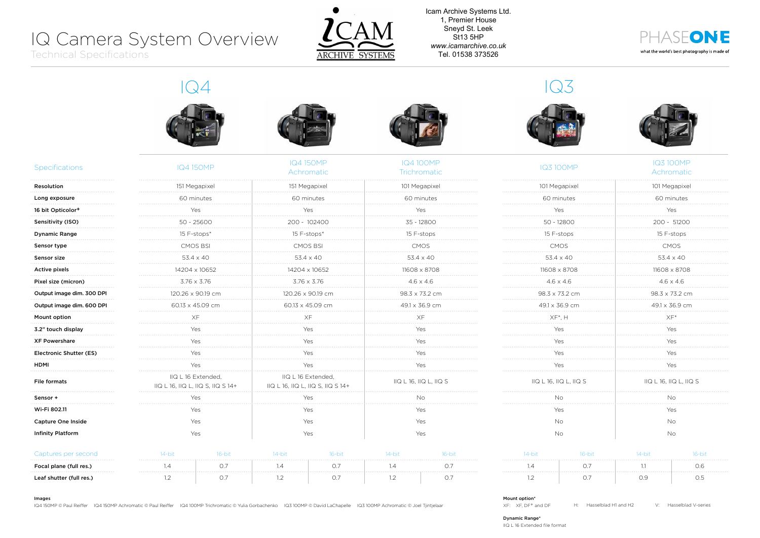# IQ Camera System Overview

Technical Specifications



Icam Archive Systems Ltd. 1, Premier House Sneyd St. Leek St13 5HP *www.icamarchive.co.uk* Tel. 01538 373526



. . . . . . . . . .

. . . . . . . . . . . . . . . . . . . .

. . . . . . . . . .

. . . . . . . . . . . . . . . . . . . . . . . . . . . . . . . . . . . . . . . . . . . . . . . . . .

. . . . . . . . . .

. . . . . . . . . .

| <b>Specifications</b>         | <b>IQ4150MP</b>                                         | <b>IQ4150MP</b><br>Achromatic                           | <b>IQ4100MP</b><br>Trichromatic | <b>IQ3100MP</b>        | <b>IQ3100MP</b><br>Achromatic |
|-------------------------------|---------------------------------------------------------|---------------------------------------------------------|---------------------------------|------------------------|-------------------------------|
| Resolution                    | 151 Megapixel                                           | 151 Megapixel                                           | 101 Megapixel                   | 101 Megapixel          | 101 Megapixel                 |
| Long exposure                 | 60 minutes                                              | 60 minutes                                              | 60 minutes                      | 60 minutes             | 60 minutes                    |
| 16 bit Opticolor <sup>+</sup> | Yes                                                     | Yes                                                     | Yes                             | Yes                    | Yes                           |
| Sensitivity (ISO)             | 50 - 25600                                              | 200 - 102400<br>.                                       | 35 - 12800                      | $50 - 12800$           | 200 - 51200                   |
| <b>Dynamic Range</b>          | 15 F-stops*                                             | 15 F-stops*                                             | 15 F-stops                      | 15 F-stops             | 15 F-stops                    |
| Sensor type                   | <b>CMOS BSI</b>                                         | <b>CMOS BSI</b>                                         | <b>CMOS</b>                     | <b>CMOS</b>            | <b>CMOS</b>                   |
| Sensor size                   | 53.4 x 40                                               | $53.4 \times 40$                                        | $53.4 \times 40$                | $53.4 \times 40$       | $53.4 \times 40$              |
| Active pixels                 | 14204 x 10652                                           | 14204 x 10652                                           | 11608 x 8708                    | 11608 x 8708           | 11608 x 8708                  |
| Pixel size (micron)           | $3.76 \times 3.76$                                      | $3.76 \times 3.76$                                      | $4.6 \times 4.6$                | $4.6 \times 4.6$       | $4.6 \times 4.6$              |
| Output image dim. 300 DPI     | 120.26 x 90.19 cm                                       | 120.26 x 90.19 cm                                       | 98.3 x 73.2 cm                  | 98.3 x 73.2 cm         | 98.3 x 73.2 cm                |
| Output image dim. 600 DPI     | 60.13 x 45.09 cm                                        | 60.13 x 45.09 cm                                        | 49.1 x 36.9 cm                  | 49.1 x 36.9 cm         | 49.1 x 36.9 cm                |
| Mount option                  | ХF                                                      | XF                                                      | XF                              | $XF^*$ , $H$           | $XF*$                         |
| 3.2" touch display            | Yes                                                     | Yes                                                     | Yes                             | Yes                    | Yes                           |
| <b>XF Powershare</b>          | Yes                                                     | Yes                                                     | Yes                             | Yes                    | Yes                           |
| Electronic Shutter (ES)       | Yes                                                     | Yes                                                     | Yes                             | Yes                    | Yes                           |
| HDMI                          | Yes                                                     | Yes                                                     | Yes                             | Yes                    | Yes                           |
| <b>File formats</b>           | IIQ L 16 Extended,<br>IIQ L 16, IIQ L, IIQ S, IIQ S 14+ | IIQ L 16 Extended,<br>IIQ L 16, IIQ L, IIQ S, IIQ S 14+ | IIQ L 16, IIQ L, IIQ S          | IIQ L 16, IIQ L, IIQ S | IIQ L 16, IIQ L, IIQ S        |
| Sensor +                      | Yes                                                     | Yes                                                     | No.                             | <b>No</b>              | No                            |
| Wi-Fi 802.11                  | Yes                                                     | Yes                                                     | Yes                             | Yes                    | Yes                           |
| <b>Capture One Inside</b>     | Yes                                                     | Yes                                                     | Yes                             | No                     | No                            |
| <b>Infinity Platform</b>      | Yes                                                     | Yes                                                     | Yes                             | <b>No</b>              | <b>No</b>                     |

| utures der seconi        |  | . |  | <br> |  |          |
|--------------------------|--|---|--|------|--|----------|
| Focal plane (full res.)  |  |   |  |      |  | 0.6      |
| Leaf shutter (full res.) |  |   |  |      |  | .<br>U.G |

| $14$ -bit | $16$ -bit | $14$ -bit | $16-hit$ |
|-----------|-----------|-----------|----------|
| 1 4       | (1)       |           | Ωĥ       |
|           |           | Ωq        | Λ5       |

Images

IQ4 150MP © Paul Reiffer IQ4 150MP Achromatic © Paul Reiffer IQ4 100MP Trichromatic © Yulia Gorbachenko IQ3 100MP © David LaChapelle IQ3 100MP Achromatic © Joel Tjintjelaar

#### Mount option\*

XF: XF, DF+ and DF H: Hasselblad H1 and H2 V: Hasselblad V-series

Dynamic Range\*

IIQ L 16 Extended file format